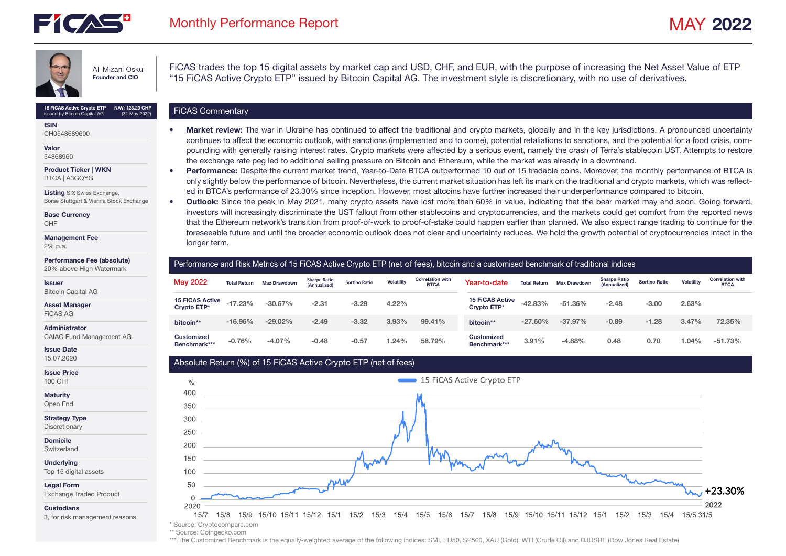



Ali Mizani Oskui Founder and CIO

15 FICAS Active Crypto ETP NAV: 123.29 CHF<br>  $\overline{C}$  FICAS Commentary issued by Bitcoin Capital AG NAV: 123.29 CHF (31 May 2022)

ISIN CH0548689600

Valor 54868960

Product Ticker | WKN BTCA | A3GQYG

Listing SIX Swiss Exchange, Börse Stuttgart & Vienna Stock Exchange

Base Currency CHF

Management Fee

2% p.a.

#### Performance Fee (absolute)

20% above High Watermark

## Issuer

Bitcoin Capital AG

Asset Manager

FiCAS AG

Administrator

CAIAC Fund Management AG

Issue Date 15.07.2020

Issue Price 100 CHF

**Maturity** 

Open End

Strategy Type

Discretionary

Domicile

Switzerland

**Underlying** Top 15 digital assets

Legal Form

Exchange Traded Product

**Custodians** 

3, for risk management reasons

FiCAS trades the top 15 digital assets by market cap and USD, CHF, and EUR, with the purpose of increasing the Net Asset Value of ETP "15 FiCAS Active Crypto ETP" issued by Bitcoin Capital AG. The investment style is discretionary, with no use of derivatives.

- Market review: The war in Ukraine has continued to affect the traditional and crypto markets, globally and in the key jurisdictions. A pronounced uncertainty continues to affect the economic outlook, with sanctions (implemented and to come), potential retaliations to sanctions, and the potential for a food crisis, compounding with generally raising interest rates. Crypto markets were affected by a serious event, namely the crash of Terra's stablecoin UST. Attempts to restore the exchange rate peg led to additional selling pressure on Bitcoin and Ethereum, while the market was already in a downtrend.
	- Performance: Despite the current market trend, Year-to-Date BTCA outperformed 10 out of 15 tradable coins. Moreover, the monthly performance of BTCA is only slightly below the performance of bitcoin. Nevertheless, the current market situation has left its mark on the traditional and crypto markets, which was reflected in BTCA's performance of 23.30% since inception. However, most altcoins have further increased their underperformance compared to bitcoin.
- Outlook: Since the peak in May 2021, many crypto assets have lost more than 60% in value, indicating that the bear market may end soon. Going forward, investors will increasingly discriminate the UST fallout from other stablecoins and cryptocurrencies, and the markets could get comfort from the reported news that the Ethereum network's transition from proof-of-work to proof-of-stake could happen earlier than planned. We also expect range trading to continue for the foreseeable future and until the broader economic outlook does not clear and uncertainty reduces. We hold the growth potential of cryptocurrencies intact in the longer term.

## Performance and Risk Metrics of 15 FiCAS Active Crypto ETP (net of fees), bitcoin and a customised benchmark of traditional indices

| ____           | <b>May 2022</b>                       | <b>Total Return</b> | <b>Max Drawdown</b> | <b>Sharpe Ratio</b><br>(Annualized) | <b>Sortino Ratio</b> | Volatility | <b>Correlation with</b><br><b>BTCA</b> | Year-to-date                          | <b>Total Return</b> | <b>Max Drawdown</b> | <b>Sharpe Ratio</b><br>(Annualized) | <b>Sortino Ratio</b> | <b>Volatility</b> | <b>Correlation with</b><br><b>BTCA</b> |
|----------------|---------------------------------------|---------------------|---------------------|-------------------------------------|----------------------|------------|----------------------------------------|---------------------------------------|---------------------|---------------------|-------------------------------------|----------------------|-------------------|----------------------------------------|
|                | <b>15 FiCAS Active</b><br>Crypto ETP* | $-17.23%$           | $-30.67\%$          | $-2.31$                             | $-3.29$              | 4.22%      |                                        | <b>15 FICAS Active</b><br>Crypto ETP* | $-42.83%$           | $-51.36\%$          | $-2.48$                             | $-3.00$              | 2.63%             |                                        |
| the control of | bitcoin**                             | $-16.96\%$          | $-29.02%$           | $-2.49$                             | $-3.32$              | 3.93%      | 99.41%                                 | bitcoin**                             | $-27.60\%$          | $-37.97%$           | $-0.89$                             | $-1.28$              | 3.47%             | 72.35%                                 |
|                | <b>Customized</b><br>Benchmark***     | $-0.76%$            | $-4.07%$            | $-0.48$                             | $-0.57$              | 1.24%      | 58.79%                                 | <b>Customized</b><br>Benchmark***     | 3.91%               | $-4.88%$            | 0.48                                | 0.70                 | $1.04\%$          | $-51.73%$                              |

## Absolute Return (%) of 15 FiCAS Active Crypto ETP (net of fees)



\*\* Source: Coingecko.com

\*\*\* The Customized Benchmark is the equally-weighted average of the following indices: SMI, EU50, SP500, XAU (Gold), WTI (Crude Oil) and DJUSRE (Dow Jones Real Estate)